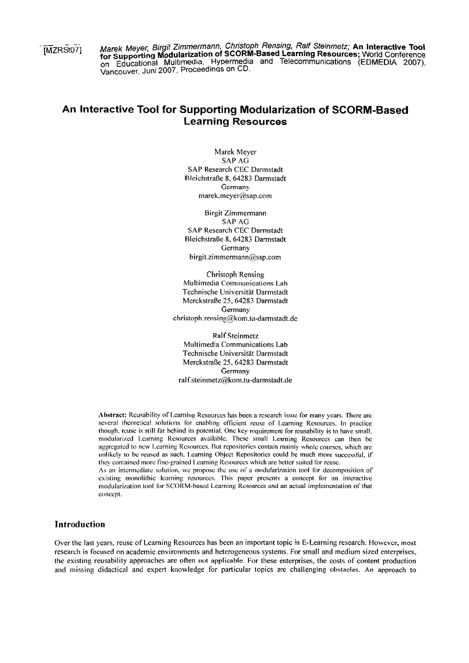[MZRSt07]

Marek Meyer, Birgit Zimmermann, Christoph Rensing, Ralf Steinmetz; An Interactive Tool Indian Interactive Tool for Supporting Modularization of SCORM-Based Learning Resources; World Conference<br>on Educational Multimedia, Hypermedia and Telecommunications (EDMEDIA 2007), Vancouver, Juni 2007, Proceedings on CD

# An Interactive Tool for Supporting Modularization of SCORM-Based **Learning Resources**

Marek Meyer SAP AG SAP Research CEC Darmstadt Bleichstraße 8, 64283 Darmstadt Germany marek.meyer@sap.com

Birgit Zimmermann **SAP AG SAP Research CEC Darmstadt** Bleichstraße 8, 64283 Darmstadt Germany birgit.zimmermann@sap.com

Christoph Rensing Multimedia Communications Lab Technische Universität Darmstadt Merckstraße 25, 64283 Darmstadt Germany christoph.rensing@kom.tu-darmstadt.de

**Ralf Steinmetz** Multimedia Communications Lab Technische Universität Darmstadt Merckstraße 25, 64283 Darmstadt Germany ralf.steinmetz@kom.tu-darmstadt.de

Abstract: Reusability of Learning Resources has been a research issue for many years. There are several theoretical solutions for enabling efficient reuse of Learning Resources. In practice though, reuse is still far behind its potential. One key requirement for reusability is to have small, modularized Learning Resources available. These small Learning Resources can then be aggregated to new Learning Resources. But repositories contain mainly whole courses, which are unlikely to be reused as such. Learning Object Repositories could be much more successful, if they contained more fine-grained Learning Resources which are better suited for reuse. As an intermediate solution, we propose the use of a modularization tool for decomposition of existing monolithic learning resources. This paper presents a concept for an interactive modularization tool for SCORM-based Learning Resources and an actual implementation of that

# **Introduction**

concept.

Over the last years, reuse of Learning Resources has been an important topic in E-Learning research. However, most research is focused on academic environments and heterogeneous systems. For small and medium sized enterprises, the existing reusability approaches are often not applicable. For these enterprises, the costs of content production and missing didactical and expert knowledge for particular topics are challenging obstacles. An approach to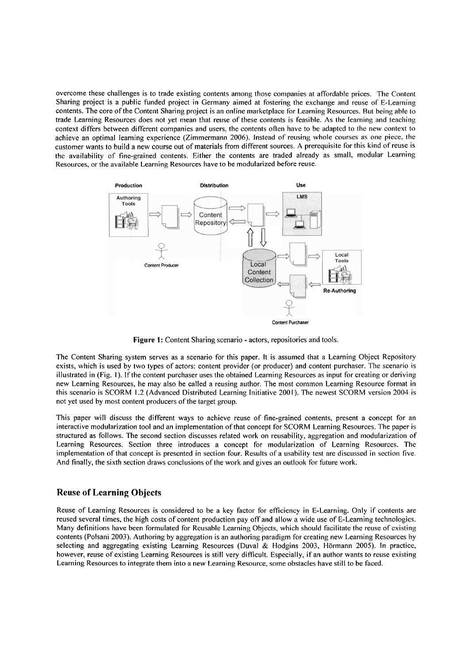overcome these challenges is to trade existing contents among those companies at affordable prices. The Content Sharing project is a public funded project in Germany aimed at fostering the exchange and reuse of E-Learning contents. The core of the Content Sharing project is an online marketplace for Learning Resources. But being able to trade Learning Resources does not yet mean that reuse of these contents is feasible. As the learning and teaching context differs between different companies and users, the contents often have to be adapted to the new context to achieve an optimal learning experience (Zimmermann 2006). Instead of reusing whole courses as one piece, the customer wants to build a new Course out of materials from different sources. A prerequisite for this kind of reuse is the availability of fine-grained contents. Either the contents are traded already as small, modular Learning Resources, or the available Learning Resources have to be modularized before reuse.



Figure 1: Content Sharing scenario - actors, repositories and tools.

The Content Sharing system serves as a scenario for this paper. It is assumed that a Learning Object Repository exists, which is used by two types of actors: content provider (or producer) and content purchaser. The scenario is illustrated in (Fig. 1). If the content purchaser uses the obtained Learning Resources as input for creating or deriving new Learning Resources, he may also be called a reusing author. The most common Learning Resource format in this scenario is SCORM 1.2 (Advanced Distributed Learning Initiative 2001). The newest SCORM version 2004 is not yet used by most content producers of the target group.

This paper will discuss the different ways to achieve reuse of fine-grained contents, present a concept for an interactive rnodularization tool and an irnplementation of that concept for SCORM Learning Resources. The paper is structured as follows. The second section discusses related work on reusability, aggregation and modularization of Learning Resources. Section three introduces a concept for modularization of Learning Resources. The implementation of that concept is presented in section four. Results of a usability test are discussed in section five. And finally, the sixth section draws conclusions of the work and gives an outlook for future work.

### **Reuse of Learning Objects**

Reuse of Learning Resources is considered to be a key factor for eficiency in E-Learning. Only if contents are reused several times, the high costs of content production pay off and allow a wide use of E-Learning technologies. Many definitions have been formulated for Reusable Learning Objects, which should facilitate the reuse of cxisting contents (Polsani 2003). Authoring by aggregation is an authoring paradigm for creating new Learning Resources by selecting and aggregating existing Learning Resources (Duval & Hodgins 2003, Hörmann 2005). In practice, however, reuse of existing Learning Resources is still very dificult. Especially, if an author wants to reuse existing Learning Resources to integrate them into a new Learning Resource, some obstacles have still to be faced.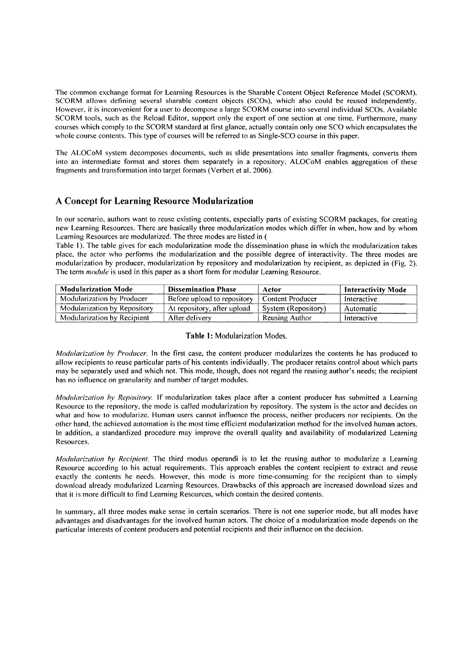The common exchange format for Learning Resources is the Sharable Content Object Reference Model (SCORM). SCORM allows defining several sharable content objects (SCOs), which also could be reused independently. However, it is inconvenient for a user to decompose a large SCORM course into several individual SCOs. Available SCORM tools, such as the Reload Editor, support only the export of one section at one time. Furthermore, many courses which comply to the SCORM standard at first glance, actually coritain only one SC0 which encapsulates the whole course contents. This type of courses will be referred to as Single-SCO course in this paper.

The ALOCoM system decomposes documents, such as slide presentations into smaller fragments, converts them into an intermediate format and stores them separately in a repository. ALOCoM enables aggregation of these fragments and transformation into target formats (Verbert et al. 2006).

# **A Concept for Learning Resou rce Modularization**

In our scenario, authors want to reuse existing contents, especially parts of existing SCORM packages, for creating new Learning Resources. There are basically three modularization modes which differ in when, how and by whom Learning Resources are modularized. The three modes are listed in (

Table 1). The table gives for each modularization mode the dissemination phase in which the modularization takes place, the actor who performs the modularization and the possible degree of interactivity. The three modes are modularization by producer, modularization by repository and modularization by recipient, as depicted in (Fig. 2). The term *module* is used in this paper as a short form for modular Learning Resource.

| <b>Modularization Mode</b>   | <b>Dissemination Phase</b>  | Actor               | <b>Interactivity Mode</b> |
|------------------------------|-----------------------------|---------------------|---------------------------|
| Modularization by Producer   | Before upload to repository | Content Producer    | Interactive               |
| Modularization by Repository | At repository, after upload | System (Repository) | Automatic                 |
| Modularization by Recipient  | After delivery              | Reusing Author      | Interactive               |

#### Table 1: Modularization Modes.

*Modularization by Producer.* In the first case, the content producer modularizes the contents he has produced to allow recipients to reuse particular parts of his contents individually. The producer retains control about which parts may be separately used and which not. This mode, though, does not regard the reusing author's needs; the recipient has no influence on granularity and number of target modules.

*Modularization by Repository.* If modularization takes place after a content producer has submitted a Learning Resource to the repository, the mode is called modularization by repository. The system is the actor and decides on what and how to modularize. Human users cannot influence the process, neither producers nor recipients. On the other hand, the achieved automation is the most time efficient modularization method for the involved human actors. In addition, a standardized procedure may improve the overall quality and availability of modularized Learning Resources.

*Modularization by Recipient.* The third modus operandi is to let the reusing author to modularize a Learning Resource according to his actual requirements. This approach enables the content recipient to extract and reuse exactly the contents he needs. However, this mode is more time-consuming for the recipient than to simply download already modularized Learning Resources. Drawbacks of this approach are increased download sizes and that it is more difficult to find Learning Resources, which contain the desired contents.

In sunimary, all three modes make sense in certain scenarios. There is not one superior mode, but all modes have advantages and disadvantages for the involved human actors. The choice of a modularization mode depends on the particular interests of content producers and potential recipients and their influence on the decision.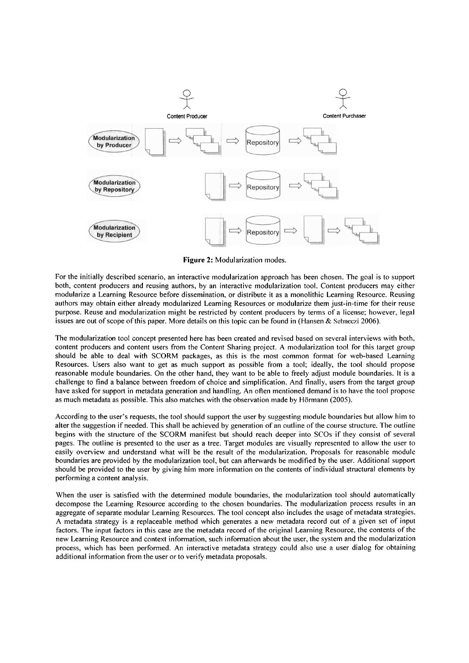

**Figure** 2: Modularization modes.

For the initially described scenario, an interactive modularization approach has been chosen. The goal is to support both, content producers and reusing authors, by an interactive modularization tool. Content producers may either modularize a Learning Resource before dissemination, or distribute it as a monolithic Learning Resource. Reusing authors may obtain either already modularized Learning Resources or modularize them just-in-time for their reuse purpose. Reuse and modularization might be restricted by content producers by terms of a license; however, legal issues are out of scope of this paper. More details on this topic can be found in (Hansen & Selmeczi 2006).

The modularization tool concept presented here has been created and revised based on several interviews with both, content producers and content users from the Content Sharing project. A modularization tool for this target group should be able to deal with SCORM packages, as this is the most common format for web-based Learning Resources. Users also Want to get as much support as possible from a tool; ideally, the tool should propose reasonable module boundaries. On the other hand, they Want to be able to freely adjust module boundaries. It is a challenge to find a balance between freedom of choice and simplification. And finally, users from the target group have asked for support in metadata generation and handling. An often mentioned demand is to have the tool propose as much metadata as possible. This also matches with the observation made by Hörmann (2005).

According to the user's requests, the tool should support the user by suggesting module boundaries but allow him to alter the suggestion if needed. This shall be achieved by generation of an outline of the course structure. The outline begins with the structure of the SCORM manifest but should reach deeper into SCOs if they consist of several pages. The outline is presented to the user as a tree. Target modules are visually represented to allow the user to easily overview and understand what will be the result of the modularization. Proposals for reasonable module boundaries are provided by the modularization tool, but can afterwards be modified by the user. Additional support should be provided to the user by giving him more information on the contents of individual structural elements by performing a content analysis.

When the user is satisfied with the determined module boundaries, the modularization tool should automatically decompose the Learning Resource according to the chosen boundaries. The modularization process results in an aggregate of separate modular Learning Resources. The tool concept also includes the usage of metadata strategies. A metadata strategy is a replaceable method which generates a new metadata record out of a given set of input factors. The input factors in this case are the metadata record of the original Learning Resource, the contents of the new Learning Resource and context information, such information about the user, the system and the modularization process, which has been performed. An interactive metadata strategy could also use a user dialog for obtaining additional information from the user or to verify metadata proposals.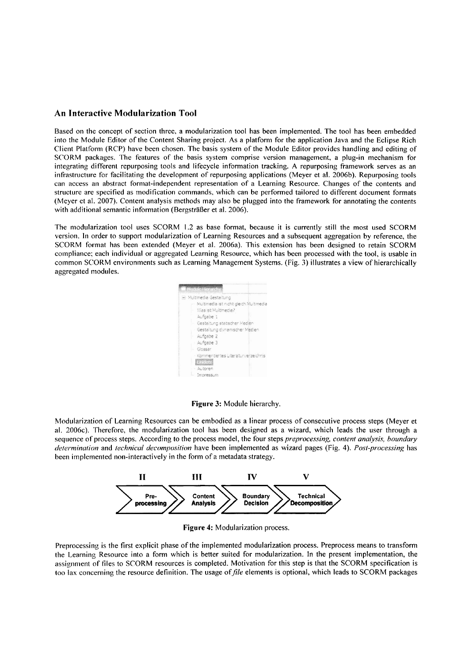### **An Interactive Modularization Tool**

Based on the concept of section three, a modularization tool has been implemented. The tool has been embedded into the Module Editor of the Content Sharing project. As a platform for the application Java and the Eclipse Rich Client Platform (RCP) have been chosen. The basis system of the Module Editor provides handling and editing of SCORM packages. The features of the basis system comprise version management, a plug-in mechanism for integrating different repurposing tools and lifecycle information tracking. A repurposing framework serves as an infrastructure for facilitating the development of repurposing applications (Meyer et al. 2006b). Repurposing tools can access an abstract format-independent representation of a Learning Resource. Changes of the contents and structure are specified as modification commands, which can be performed tailored to different document formats (Meyer et al. 2007). Content analysis methods may also be plugged into the framework for annotating the contents with additional semantic information (Bergsträßer et al. 2006).

The modularization tool uses SCORM 1.2 as base format, because it is currently still the most used SCORM version. In order to support modularization of Learning Resources and a subsequent aggregation by reference, the SCORM format has been extended (Meyer et al. 2006a). This extension has been designed to retain SCORM compliance; each individual or aggregated Learning Resource, which has been processed with the tool, is usable in common SCORM environments such as Learning Management Systems. (Fig. 3) illustrates a view of hierarchically aggregated modules.



**Figure 3:** Module hierarchy.

Modularization of Learning Resources can be enibodied as a linear process of consecutive process steps (Meyer et al. 2006c). Therefore, the modularization tool has been designed as a wizard, which leads the user through a sequence of process steps. According to the process model, the four steps *preprocessing, content analysis, boundary determination and <i>technical decomposition* have been implemented as wizard pages (Fig. 4). Post-processing has been implemented non-interactively in the form of a metadata strategy.



**Figure 4:** Modularization process.

Preprocessing is the first explicit phase of the implemented modularization process. Preprocess means to transform the Learning Resource into a form which is better suited for modularization. In the present implementation, the assignment of files to SCORM resources is completed. Motivation for this step is that the SCORM specification is too lax concerning the resource definition. The usage of *file* elements is optional, which leads to SCORM packages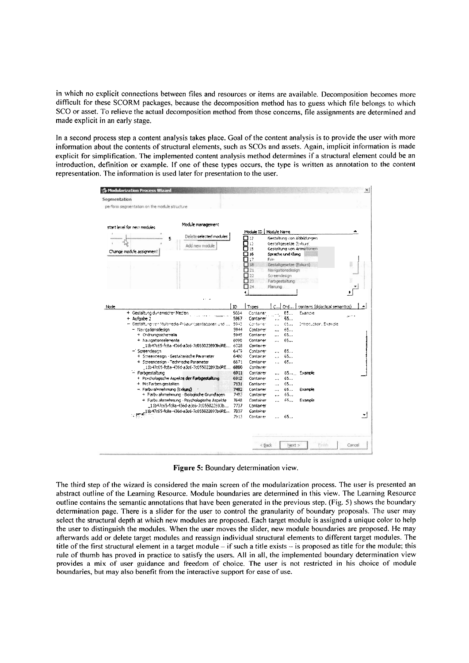in which no explicit connections between files and resources or items are available. Decomposition becomes more difficult for these SCORM packages, because the decomposition method has to guess which file belongs to which SCO or asset. To relieve the actual decomposition method from those concerns, file assignments are determined and made explicit in an early stage.

In a second process step a content analysis takes place. Goal of the content analysis is to provide the user with more information about the contents of structural elements, such as SCOs and assets. Again, implicit information is made explicit for simplification. The implemented content analysis method determines if a structural element could be an introduction, definition or example. If one of these types occurs, the type is written as annotation to the content representation. The information is used later for presentation to the user.



Figure 5: Boundary determination view.

The third step of the wizard is considered the main screen of the modularization process. The user is presented an abstract outline of the Learning Resource. Module boundaries are determined in this view. The Learning Resource outline contains the semantic annotations that have been generated in the previous step. (Fig. 5) shows the boundary determination page. There is a slider for the user to control the granularity of boundary proposals. The user may select the structural depth at which new modules are proposed. Each target module is assigned a unique color to help the user to distinguish the modules. When the user moves the slider, new module boundaries are proposed. He may afterwards add or delete target modules and reassign individual structural elements to different target modules. The title of the first structural element in a target module  $-$  if such a title exists  $-$  is proposed as title for the module; this rule of thumb has proved in practice to satisfy the users. All in all, the implemented boundary determination view provides a mix of user guidance and freedom of choice. The user is not restricted in his choice of module boundaries, but may also benefit from the interactive support for ease of use.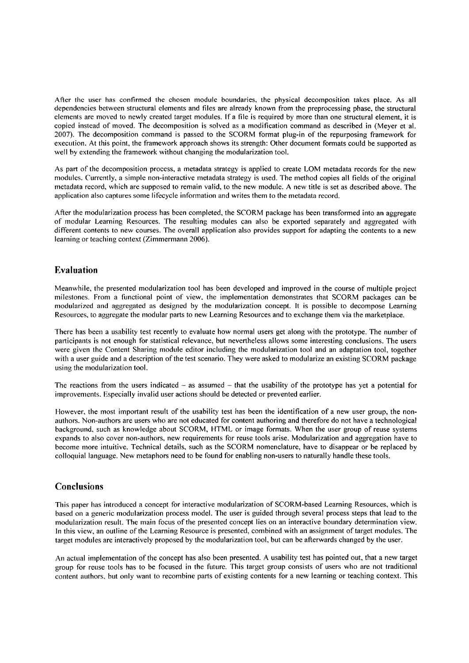After the user has confirmed the chosen module boundaries, the physical decomposition takes place. As all dependencies between structural elements and files are already known from the preprocessing phase, the structural elements are moved to newly created target modules. If a file is required by more than one structural element, it is copied instead of moved. The decomposition is solved as a modification command as described in (Meyer et al. 2007). The decomposition command is passed to the SCORM format plug-in of the repurposing framework for execution. At this point, the framework approach shows its strength: Other document formats could be supported as well by extending the framework without changing the modularization tool.

As part of the decomposition process, a metadata strategy is applied to create LOM metadata records for the new modules. Currently, a simple non-interactive metadata strategy is used. The method copies all fields of the original metadata record, which are supposed to remain valid, to the new module. A new title is set as described above. The application also captures some lifecycle information and writes them to the metadata record.

After the modularization process has been completed, the SCORM package has been transformed into an aggregate of modular Learning Resources. The resulting modules can also be exported separately and aggregated with different contents to new courses. The overall application also provides support for adapting the contents to a new learning or teaching context (Zimmermann 2006).

# **Evaluation**

Meanwhile, the presented modularization tool has been developed and improved in the course of multiple project milestones. From a functional point of view, the implementation demonstrates that SCORM packages can be modularized and aggregated as designed by the modularization concept. It is possible to decompose Learning Resources, to aggregate the modular parts to new Learning Resources and to exchange them via the marketplace.

There has been a usability test recently to evaluate how normal users get along with the prototype. The number of participants is not enough for statistical relevance, but nevertheless allows some interesting conclusions. The users were given the Content Sharing module editor including the modularization tool and an adaptation tool, together with a user guide and a description of the test scenario. They were asked to modularize an existing SCORM package using the modularization tool.

The reactions from the users indicated  $-$  as assumed  $-$  that the usability of the prototype has yet a potential for improvements. Especially invalid user actions should be detected or prevented earlier.

However, the most important result of the usability test has been the identification of a new user group, the nonauthors. Non-authors are users who are not educated for content authoring and therefore do not have a technological background, such as knowledge about SCORM, HTML or image formats. When the user group of reuse systems expands to also cover non-authors, new requirements for reuse tools arise. Modularization and aggregation have to become more intuitive. Technical details, such as the SCORM nomenclature, have to disappear or be replaced by colloquial language. New metaphors need to be found for enabling non-users to naturally handle these tools.

# **Conclusions**

This paper has introduced a concept for interactive modularization of SCORM-based Learning Resources, which is based on a generic modularization process model. The user is guided through several process steps that lead to the modularization result. The main focus of the presented concept lies on an interactive boundary determination view. In this view, an outline of the Learning Resource is presented, combined with an assignment of target modules. The target modules are interactively proposed by the modularization tool, but can be afterwards changed by the user.

An actual implementation of the concept has also been presented. A usability test has pointed out, that a new target group for reuse tools has to be focused in the future. This target group consists of users who are not traditional content authors, but only want to recombine parts of existing contents for a new learning or teaching context. This